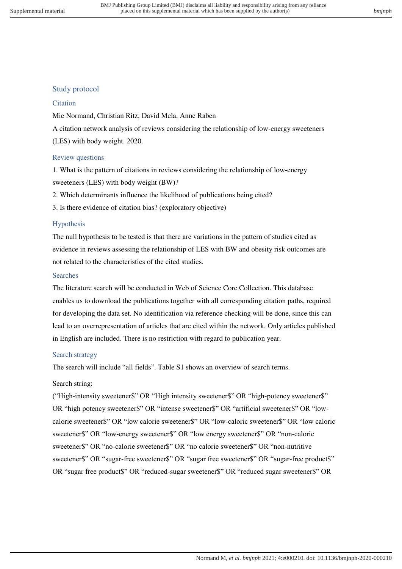# Study protocol

#### **Citation**

Mie Normand, Christian Ritz, David Mela, Anne Raben A citation network analysis of reviews considering the relationship of low-energy sweeteners (LES) with body weight. 2020.

## Review questions

1. What is the pattern of citations in reviews considering the relationship of low-energy sweeteners (LES) with body weight (BW)?

2. Which determinants influence the likelihood of publications being cited?

3. Is there evidence of citation bias? (exploratory objective)

## Hypothesis

The null hypothesis to be tested is that there are variations in the pattern of studies cited as evidence in reviews assessing the relationship of LES with BW and obesity risk outcomes are not related to the characteristics of the cited studies.

#### Searches

The literature search will be conducted in Web of Science Core Collection. This database enables us to download the publications together with all corresponding citation paths, required for developing the data set. No identification via reference checking will be done, since this can lead to an overrepresentation of articles that are cited within the network. Only articles published in English are included. There is no restriction with regard to publication year.

## Search strategy

The search will include "all fields". Table S1 shows an overview of search terms.

## Search string:

("High-intensity sweetener\$" OR "High intensity sweetener\$" OR "high-potency sweetener\$" OR "high potency sweetener\$" OR "intense sweetener\$" OR "artificial sweetener\$" OR "lowcalorie sweetener\$" OR "low calorie sweetener\$" OR "low-caloric sweetener\$" OR "low caloric sweetener\$" OR "low-energy sweetener\$" OR "low energy sweetener\$" OR "non-caloric sweetener\$" OR "no-calorie sweetener\$" OR "no calorie sweetener\$" OR "non-nutritive sweetener\$" OR "sugar-free sweetener\$" OR "sugar free sweetener\$" OR "sugar-free product\$" OR "sugar free product\$" OR "reduced-sugar sweetener\$" OR "reduced sugar sweetener\$" OR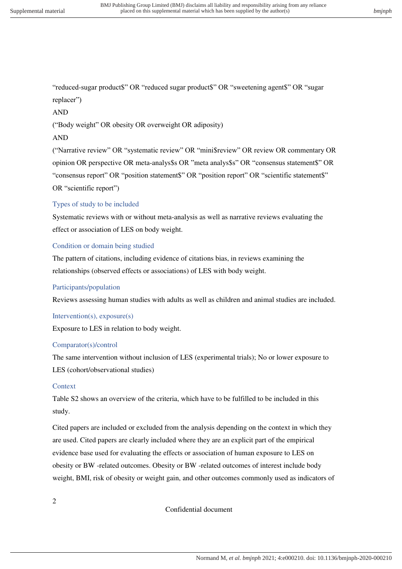"reduced-sugar product\$" OR "reduced sugar product\$" OR "sweetening agent\$" OR "sugar replacer")

AND

("Body weight" OR obesity OR overweight OR adiposity)

#### AND

("Narrative review" OR "systematic review" OR "mini\$review" OR review OR commentary OR opinion OR perspective OR meta-analys\$s OR "meta analys\$s" OR "consensus statement\$" OR "consensus report" OR "position statement\$" OR "position report" OR "scientific statement\$" OR "scientific report")

## Types of study to be included

Systematic reviews with or without meta-analysis as well as narrative reviews evaluating the effect or association of LES on body weight.

## Condition or domain being studied

The pattern of citations, including evidence of citations bias, in reviews examining the relationships (observed effects or associations) of LES with body weight.

#### Participants/population

Reviews assessing human studies with adults as well as children and animal studies are included.

#### Intervention(s), exposure(s)

Exposure to LES in relation to body weight.

#### Comparator(s)/control

The same intervention without inclusion of LES (experimental trials); No or lower exposure to LES (cohort/observational studies)

## **Context**

Table S2 shows an overview of the criteria, which have to be fulfilled to be included in this study.

Cited papers are included or excluded from the analysis depending on the context in which they are used. Cited papers are clearly included where they are an explicit part of the empirical evidence base used for evaluating the effects or association of human exposure to LES on obesity or BW -related outcomes. Obesity or BW -related outcomes of interest include body weight, BMI, risk of obesity or weight gain, and other outcomes commonly used as indicators of

2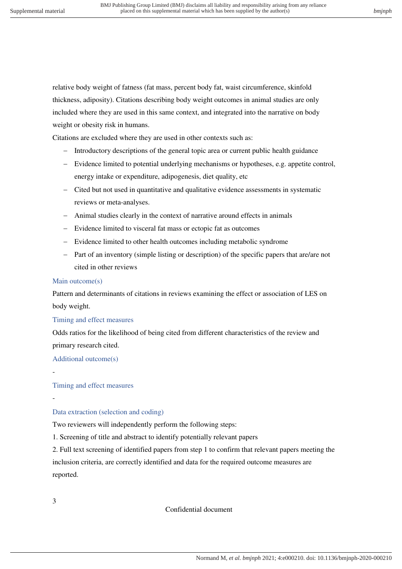relative body weight of fatness (fat mass, percent body fat, waist circumference, skinfold thickness, adiposity). Citations describing body weight outcomes in animal studies are only included where they are used in this same context, and integrated into the narrative on body weight or obesity risk in humans.

Citations are excluded where they are used in other contexts such as:

- Introductory descriptions of the general topic area or current public health guidance
- Evidence limited to potential underlying mechanisms or hypotheses, e.g. appetite control, energy intake or expenditure, adipogenesis, diet quality, etc
- Cited but not used in quantitative and qualitative evidence assessments in systematic reviews or meta-analyses.
- Animal studies clearly in the context of narrative around effects in animals
- Evidence limited to visceral fat mass or ectopic fat as outcomes
- Evidence limited to other health outcomes including metabolic syndrome
- Part of an inventory (simple listing or description) of the specific papers that are/are not cited in other reviews

#### Main outcome(s)

Pattern and determinants of citations in reviews examining the effect or association of LES on body weight.

#### Timing and effect measures

Odds ratios for the likelihood of being cited from different characteristics of the review and primary research cited.

Additional outcome(s)

-

-

Timing and effect measures

#### Data extraction (selection and coding)

Two reviewers will independently perform the following steps:

1. Screening of title and abstract to identify potentially relevant papers

2. Full text screening of identified papers from step 1 to confirm that relevant papers meeting the inclusion criteria, are correctly identified and data for the required outcome measures are reported.

3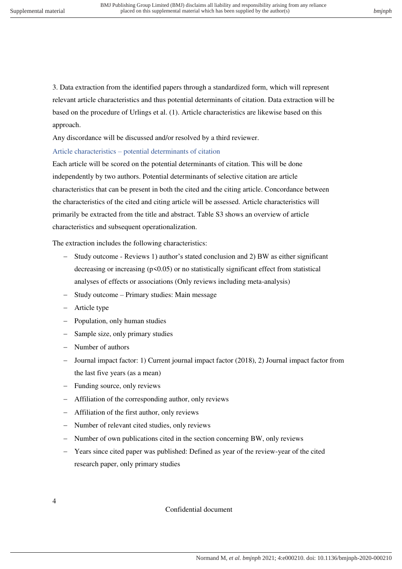3. Data extraction from the identified papers through a standardized form, which will represent relevant article characteristics and thus potential determinants of citation. Data extraction will be based on the procedure of Urlings et al. (1). Article characteristics are likewise based on this approach.

Any discordance will be discussed and/or resolved by a third reviewer.

#### Article characteristics – potential determinants of citation

Each article will be scored on the potential determinants of citation. This will be done independently by two authors. Potential determinants of selective citation are article characteristics that can be present in both the cited and the citing article. Concordance between the characteristics of the cited and citing article will be assessed. Article characteristics will primarily be extracted from the title and abstract. Table S3 shows an overview of article characteristics and subsequent operationalization.

The extraction includes the following characteristics:

- Study outcome Reviews 1) author's stated conclusion and 2) BW as either significant decreasing or increasing  $(p<0.05)$  or no statistically significant effect from statistical analyses of effects or associations (Only reviews including meta-analysis)
- Study outcome Primary studies: Main message
- Article type
- Population, only human studies
- Sample size, only primary studies
- Number of authors
- Journal impact factor: 1) Current journal impact factor (2018), 2) Journal impact factor from the last five years (as a mean)
- Funding source, only reviews
- Affiliation of the corresponding author, only reviews
- Affiliation of the first author, only reviews
- Number of relevant cited studies, only reviews
- Number of own publications cited in the section concerning BW, only reviews
- Years since cited paper was published: Defined as year of the review-year of the cited research paper, only primary studies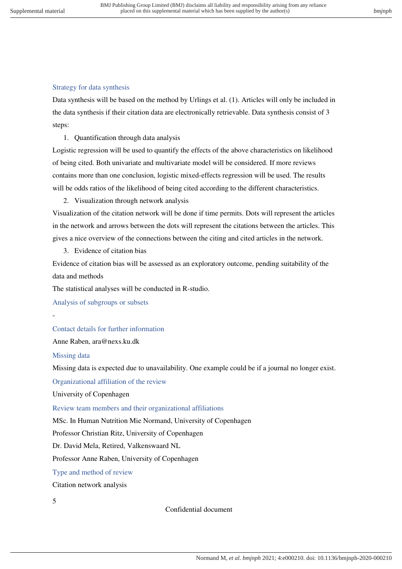# Strategy for data synthesis

Data synthesis will be based on the method by Urlings et al. (1). Articles will only be included in the data synthesis if their citation data are electronically retrievable. Data synthesis consist of 3 steps:

1. Quantification through data analysis

Logistic regression will be used to quantify the effects of the above characteristics on likelihood of being cited. Both univariate and multivariate model will be considered. If more reviews contains more than one conclusion, logistic mixed-effects regression will be used. The results will be odds ratios of the likelihood of being cited according to the different characteristics.

2. Visualization through network analysis

Visualization of the citation network will be done if time permits. Dots will represent the articles in the network and arrows between the dots will represent the citations between the articles. This gives a nice overview of the connections between the citing and cited articles in the network.

3. Evidence of citation bias

Evidence of citation bias will be assessed as an exploratory outcome, pending suitability of the data and methods

The statistical analyses will be conducted in R-studio.

Analysis of subgroups or subsets

Contact details for further information

Anne Raben, ara@nexs.ku.dk

Missing data

-

Missing data is expected due to unavailability. One example could be if a journal no longer exist.

Organizational affiliation of the review

University of Copenhagen

Review team members and their organizational affiliations

MSc. In Human Nutrition Mie Normand, University of Copenhagen

Professor Christian Ritz, University of Copenhagen

Dr. David Mela, Retired, Valkenswaard NL

Professor Anne Raben, University of Copenhagen

Type and method of review

Citation network analysis

5